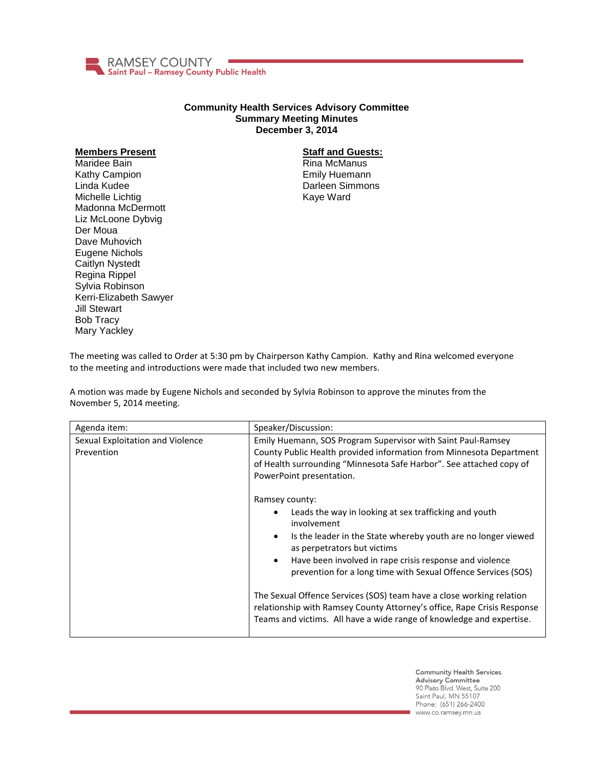

## **Community Health Services Advisory Committee Summary Meeting Minutes December 3, 2014**

## **Members Present**

Maridee Bain Kathy Campion Linda Kudee Michelle Lichtig Madonna McDermott Liz McLoone Dybvig Der Moua Dave Muhovich Eugene Nichols Caitlyn Nystedt Regina Rippel Sylvia Robinson Kerri-Elizabeth Sawyer Jill Stewart Bob Tracy Mary Yackley

## **Staff and Guests:**

Rina McManus Emily Huemann Darleen Simmons Kaye Ward

The meeting was called to Order at 5:30 pm by Chairperson Kathy Campion. Kathy and Rina welcomed everyone to the meeting and introductions were made that included two new members.

A motion was made by Eugene Nichols and seconded by Sylvia Robinson to approve the minutes from the November 5, 2014 meeting.

| Agenda item:                                   | Speaker/Discussion:                                                                                                                                                                                                                                                                                                                                                                                                                                                                                                                                                     |
|------------------------------------------------|-------------------------------------------------------------------------------------------------------------------------------------------------------------------------------------------------------------------------------------------------------------------------------------------------------------------------------------------------------------------------------------------------------------------------------------------------------------------------------------------------------------------------------------------------------------------------|
| Sexual Exploitation and Violence<br>Prevention | Emily Huemann, SOS Program Supervisor with Saint Paul-Ramsey<br>County Public Health provided information from Minnesota Department<br>of Health surrounding "Minnesota Safe Harbor". See attached copy of<br>PowerPoint presentation.                                                                                                                                                                                                                                                                                                                                  |
|                                                | Ramsey county:<br>Leads the way in looking at sex trafficking and youth<br>involvement<br>Is the leader in the State whereby youth are no longer viewed<br>$\bullet$<br>as perpetrators but victims<br>Have been involved in rape crisis response and violence<br>$\bullet$<br>prevention for a long time with Sexual Offence Services (SOS)<br>The Sexual Offence Services (SOS) team have a close working relation<br>relationship with Ramsey County Attorney's office, Rape Crisis Response<br>Teams and victims. All have a wide range of knowledge and expertise. |

**Community Health Services Advisory Committee** 90 Plato Blvd. West, Suite 200 Saint Paul, MN 55107 Phone: (651) 266-2400 www.co.ramsey.mn.us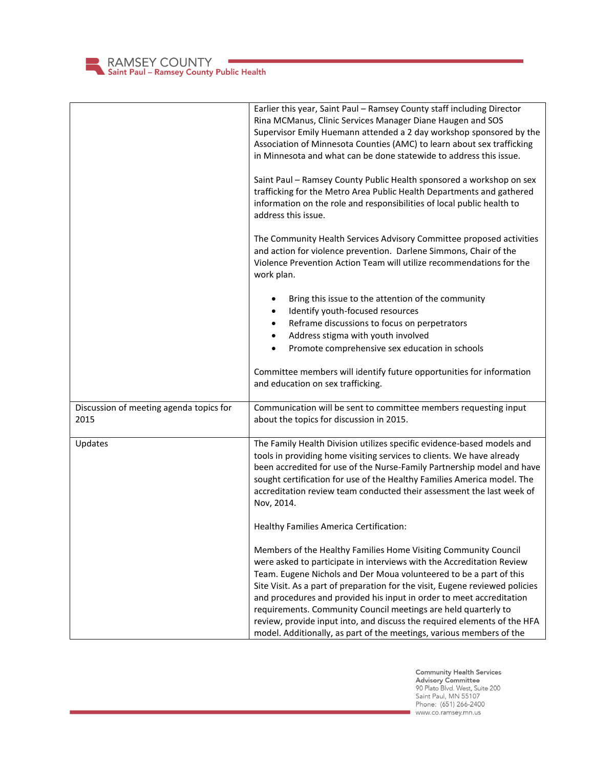

|                                                 | Earlier this year, Saint Paul - Ramsey County staff including Director<br>Rina MCManus, Clinic Services Manager Diane Haugen and SOS<br>Supervisor Emily Huemann attended a 2 day workshop sponsored by the<br>Association of Minnesota Counties (AMC) to learn about sex trafficking<br>in Minnesota and what can be done statewide to address this issue.                                                                                                                                                                                                                                  |
|-------------------------------------------------|----------------------------------------------------------------------------------------------------------------------------------------------------------------------------------------------------------------------------------------------------------------------------------------------------------------------------------------------------------------------------------------------------------------------------------------------------------------------------------------------------------------------------------------------------------------------------------------------|
|                                                 | Saint Paul - Ramsey County Public Health sponsored a workshop on sex<br>trafficking for the Metro Area Public Health Departments and gathered<br>information on the role and responsibilities of local public health to<br>address this issue.                                                                                                                                                                                                                                                                                                                                               |
|                                                 | The Community Health Services Advisory Committee proposed activities<br>and action for violence prevention. Darlene Simmons, Chair of the<br>Violence Prevention Action Team will utilize recommendations for the<br>work plan.                                                                                                                                                                                                                                                                                                                                                              |
|                                                 | Bring this issue to the attention of the community                                                                                                                                                                                                                                                                                                                                                                                                                                                                                                                                           |
|                                                 | Identify youth-focused resources                                                                                                                                                                                                                                                                                                                                                                                                                                                                                                                                                             |
|                                                 | Reframe discussions to focus on perpetrators                                                                                                                                                                                                                                                                                                                                                                                                                                                                                                                                                 |
|                                                 | Address stigma with youth involved<br>$\bullet$                                                                                                                                                                                                                                                                                                                                                                                                                                                                                                                                              |
|                                                 | Promote comprehensive sex education in schools<br>$\bullet$                                                                                                                                                                                                                                                                                                                                                                                                                                                                                                                                  |
|                                                 | Committee members will identify future opportunities for information<br>and education on sex trafficking.                                                                                                                                                                                                                                                                                                                                                                                                                                                                                    |
| Discussion of meeting agenda topics for<br>2015 | Communication will be sent to committee members requesting input<br>about the topics for discussion in 2015.                                                                                                                                                                                                                                                                                                                                                                                                                                                                                 |
| Updates                                         | The Family Health Division utilizes specific evidence-based models and<br>tools in providing home visiting services to clients. We have already<br>been accredited for use of the Nurse-Family Partnership model and have<br>sought certification for use of the Healthy Families America model. The<br>accreditation review team conducted their assessment the last week of<br>Nov, 2014.                                                                                                                                                                                                  |
|                                                 | Healthy Families America Certification:                                                                                                                                                                                                                                                                                                                                                                                                                                                                                                                                                      |
|                                                 | Members of the Healthy Families Home Visiting Community Council<br>were asked to participate in interviews with the Accreditation Review<br>Team. Eugene Nichols and Der Moua volunteered to be a part of this<br>Site Visit. As a part of preparation for the visit, Eugene reviewed policies<br>and procedures and provided his input in order to meet accreditation<br>requirements. Community Council meetings are held quarterly to<br>review, provide input into, and discuss the required elements of the HFA<br>model. Additionally, as part of the meetings, various members of the |

**Community Health Services<br>Advisory Committee**<br>90 Plato Blvd. West, Suite 200<br>Saint Paul, MN 55107<br>Phone: (651) 266-2400 www.co.ramsey.mn.us